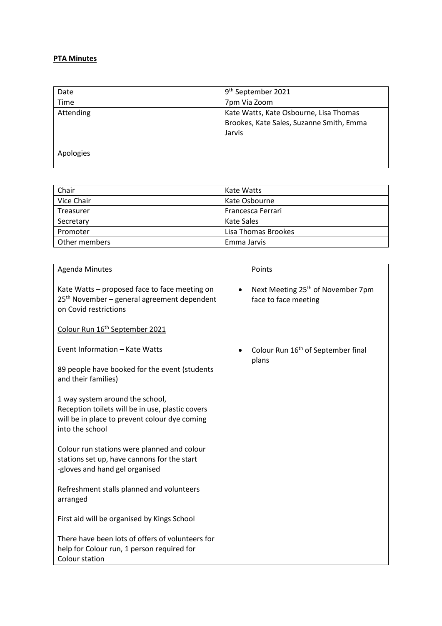## **PTA Minutes**

| Date      | 9 <sup>th</sup> September 2021                                                               |
|-----------|----------------------------------------------------------------------------------------------|
| Time      | 7pm Via Zoom                                                                                 |
| Attending | Kate Watts, Kate Osbourne, Lisa Thomas<br>Brookes, Kate Sales, Suzanne Smith, Emma<br>Jarvis |
| Apologies |                                                                                              |

| Chair         | Kate Watts          |
|---------------|---------------------|
| Vice Chair    | Kate Osbourne       |
| Treasurer     | Francesca Ferrari   |
| Secretary     | Kate Sales          |
| Promoter      | Lisa Thomas Brookes |
| Other members | Emma Jarvis         |

| <b>Agenda Minutes</b>                                                                                                                                   | Points                                                                |
|---------------------------------------------------------------------------------------------------------------------------------------------------------|-----------------------------------------------------------------------|
| Kate Watts - proposed face to face meeting on<br>25 <sup>th</sup> November – general agreement dependent<br>on Covid restrictions                       | Next Meeting 25 <sup>th</sup> of November 7pm<br>face to face meeting |
| Colour Run 16 <sup>th</sup> September 2021                                                                                                              |                                                                       |
| Event Information - Kate Watts                                                                                                                          | Colour Run 16 <sup>th</sup> of September final                        |
| 89 people have booked for the event (students<br>and their families)                                                                                    | plans                                                                 |
| 1 way system around the school,<br>Reception toilets will be in use, plastic covers<br>will be in place to prevent colour dye coming<br>into the school |                                                                       |
| Colour run stations were planned and colour<br>stations set up, have cannons for the start<br>-gloves and hand gel organised                            |                                                                       |
| Refreshment stalls planned and volunteers<br>arranged                                                                                                   |                                                                       |
| First aid will be organised by Kings School                                                                                                             |                                                                       |
| There have been lots of offers of volunteers for<br>help for Colour run, 1 person required for<br>Colour station                                        |                                                                       |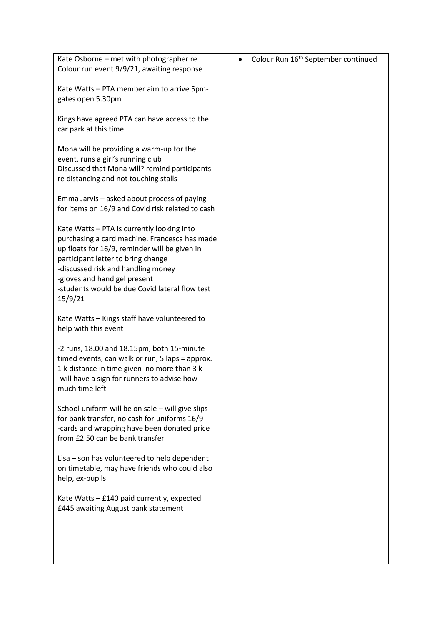| Kate Osborne - met with photographer re<br>Colour run event 9/9/21, awaiting response                                                                                                                                                                                                                                 | Colour Run 16 <sup>th</sup> September continued |
|-----------------------------------------------------------------------------------------------------------------------------------------------------------------------------------------------------------------------------------------------------------------------------------------------------------------------|-------------------------------------------------|
| Kate Watts - PTA member aim to arrive 5pm-<br>gates open 5.30pm                                                                                                                                                                                                                                                       |                                                 |
| Kings have agreed PTA can have access to the<br>car park at this time                                                                                                                                                                                                                                                 |                                                 |
| Mona will be providing a warm-up for the<br>event, runs a girl's running club<br>Discussed that Mona will? remind participants<br>re distancing and not touching stalls                                                                                                                                               |                                                 |
| Emma Jarvis - asked about process of paying<br>for items on 16/9 and Covid risk related to cash                                                                                                                                                                                                                       |                                                 |
| Kate Watts - PTA is currently looking into<br>purchasing a card machine. Francesca has made<br>up floats for 16/9, reminder will be given in<br>participant letter to bring change<br>-discussed risk and handling money<br>-gloves and hand gel present<br>-students would be due Covid lateral flow test<br>15/9/21 |                                                 |
| Kate Watts - Kings staff have volunteered to<br>help with this event                                                                                                                                                                                                                                                  |                                                 |
| -2 runs, 18.00 and 18.15pm, both 15-minute<br>timed events, can walk or run, 5 laps = approx.<br>1 k distance in time given no more than 3 k<br>-will have a sign for runners to advise how<br>much time left                                                                                                         |                                                 |
| School uniform will be on sale - will give slips<br>for bank transfer, no cash for uniforms 16/9<br>-cards and wrapping have been donated price<br>from £2.50 can be bank transfer                                                                                                                                    |                                                 |
| Lisa – son has volunteered to help dependent<br>on timetable, may have friends who could also<br>help, ex-pupils                                                                                                                                                                                                      |                                                 |
| Kate Watts - £140 paid currently, expected<br>£445 awaiting August bank statement                                                                                                                                                                                                                                     |                                                 |
|                                                                                                                                                                                                                                                                                                                       |                                                 |
|                                                                                                                                                                                                                                                                                                                       |                                                 |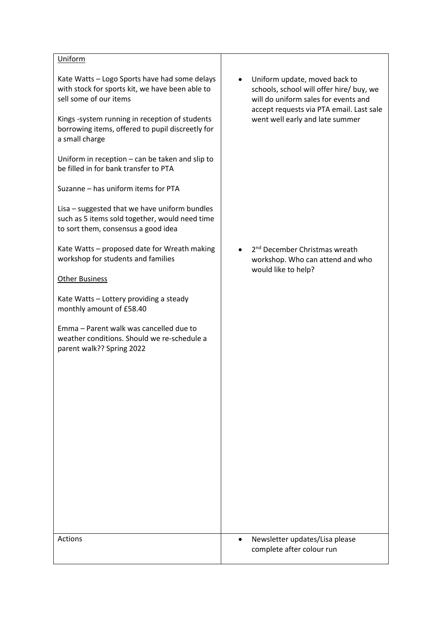## **Uniform**

Kate Watts – Logo Sports have had some delays with stock for sports kit, we have been able to sell some of our items

Kings -system running in reception of students borrowing items, offered to pupil discreetly for a small charge

Uniform in reception – can be taken and slip to be filled in for bank transfer to PTA

Suzanne – has uniform items for PTA

Lisa – suggested that we have uniform bundles such as 5 items sold together, would need time to sort them, consensus a good idea

Kate Watts – proposed date for Wreath making workshop for students and families

## Other Business

Kate Watts – Lottery providing a steady monthly amount of £58.40

Emma – Parent walk was cancelled due to weather conditions. Should we re-schedule a parent walk?? Spring 2022

• Uniform update, moved back to schools, school will offer hire/ buy, we will do uniform sales for events and accept requests via PTA email. Last sale went well early and late summer

• 2<sup>nd</sup> December Christmas wreath workshop. Who can attend and who would like to help?

| Actions | Newsletter updates/Lisa please<br>$\bullet$<br>complete after colour run |
|---------|--------------------------------------------------------------------------|